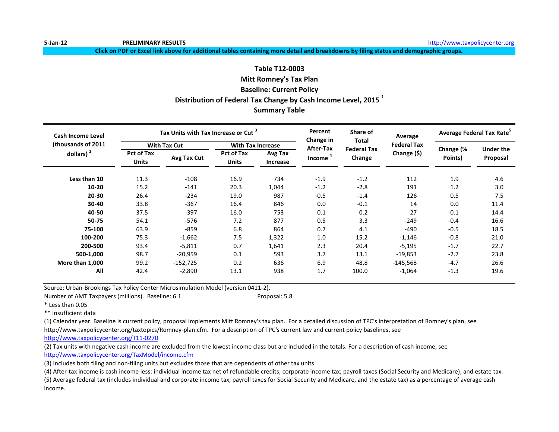**Click on PDF or Excel link above for additional tables containing more detail and breakdowns by filing status and demographic groups.**

# **Table T12-0003 Mitt Romney's Tax Plan Baseline: Current Policy Distribution of Federal Tax Change by Cash Income Level, 2015 <sup>1</sup> Summary Table**

| <b>Cash Income Level</b> |                                                  | Tax Units with Tax Increase or Cut <sup>3</sup> |                                   |                     | Percent<br>Change in | Share of<br><b>Total</b> | Average            | Average Federal Tax Rate <sup>5</sup> |                  |
|--------------------------|--------------------------------------------------|-------------------------------------------------|-----------------------------------|---------------------|----------------------|--------------------------|--------------------|---------------------------------------|------------------|
| (thousands of 2011)      |                                                  | <b>With Tax Cut</b>                             | <b>With Tax Increase</b>          |                     | After-Tax            | <b>Federal Tax</b>       | <b>Federal Tax</b> |                                       | <b>Under the</b> |
| dollars) $2$             | <b>Pct of Tax</b><br>Avg Tax Cut<br><b>Units</b> |                                                 | <b>Pct of Tax</b><br><b>Units</b> | Avg Tax<br>Increase | Income <sup>4</sup>  | Change                   | Change (\$)        | Change (%<br>Points)                  | Proposal         |
| Less than 10             | 11.3                                             | $-108$                                          | 16.9                              | 734                 | $-1.9$               | $-1.2$                   | 112                | 1.9                                   | 4.6              |
| $10 - 20$                | 15.2                                             | $-141$                                          | 20.3                              | 1,044               | $-1.2$               | $-2.8$                   | 191                | 1.2                                   | 3.0              |
| 20-30                    | 26.4                                             | $-234$                                          | 19.0                              | 987                 | $-0.5$               | $-1.4$                   | 126                | 0.5                                   | 7.5              |
| $30 - 40$                | 33.8                                             | $-367$                                          | 16.4                              | 846                 | 0.0                  | $-0.1$                   | 14                 | 0.0                                   | 11.4             |
| 40-50                    | 37.5                                             | $-397$                                          | 16.0                              | 753                 | 0.1                  | 0.2                      | $-27$              | $-0.1$                                | 14.4             |
| 50-75                    | 54.1                                             | $-576$                                          | 7.2                               | 877                 | 0.5                  | 3.3                      | $-249$             | $-0.4$                                | 16.6             |
| 75-100                   | 63.9                                             | $-859$                                          | 6.8                               | 864                 | 0.7                  | 4.1                      | $-490$             | $-0.5$                                | 18.5             |
| 100-200                  | 75.3                                             | $-1,662$                                        | 7.5                               | 1,322               | 1.0                  | 15.2                     | $-1,146$           | $-0.8$                                | 21.0             |
| 200-500                  | 93.4                                             | $-5,811$                                        | 0.7                               | 1,641               | 2.3                  | 20.4                     | $-5,195$           | $-1.7$                                | 22.7             |
| 500-1,000                | 98.7                                             | $-20,959$                                       | 0.1                               | 593                 | 3.7                  | 13.1                     | $-19,853$          | $-2.7$                                | 23.8             |
| More than 1,000          | 99.2                                             | $-152,725$                                      | 0.2                               | 636                 | 6.9                  | 48.8                     | $-145,568$         | $-4.7$                                | 26.6             |
| All                      | 42.4                                             | $-2,890$                                        | 13.1                              | 938                 | 1.7                  | 100.0                    | $-1,064$           | $-1.3$                                | 19.6             |

Source: Urban-Brookings Tax Policy Center Microsimulation Model (version 0411-2).

Number of AMT Taxpayers (millions). Baseline: 6.1 Proposal: 5.8

\* Less than 0.05

\*\* Insufficient data

(1) Calendar year. Baseline is current policy, proposal implements Mitt Romney's tax plan. For a detailed discussion of TPC's interpretation of Romney's plan, see http://www.taxpolicycenter.org/taxtopics/Romney-plan.cfm. For a description of TPC's current law and current policy baselines, see

[http://www.taxpolicycente](http://www.taxpolicycenter.org/T11-0270)r.org/T11-0270

(2) Tax units with negative cash income are excluded from the lowest income class but are included in the totals. For a description of cash income, see [http://www.taxpolicycente](http://www.taxpolicycenter.org/TaxModel/income.cfm)r.org/TaxModel/income.cfm

(3) Includes both filing and non-filing units but excludes those that are dependents of other tax units.

(4) After-tax income is cash income less: individual income tax net of refundable credits; corporate income tax; payroll taxes (Social Security and Medicare); and estate tax.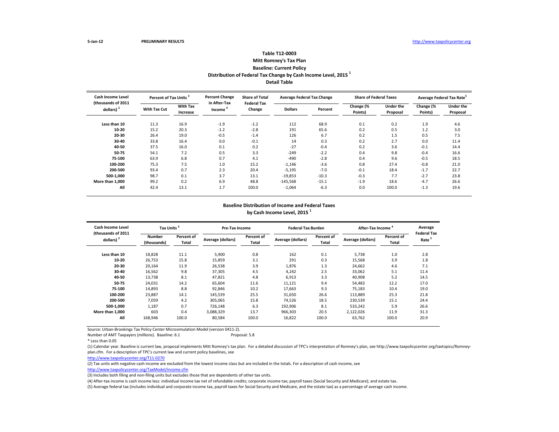#### **Table T12-0003 Mitt Romney's Tax Plan Baseline: Current Policy Distribution of Federal Tax Change by Cash Income Level, 2015 <sup>1</sup> Detail Table**

| <b>Cash Income Level</b>                    | Percent of Tax Units <sup>3</sup> |                             | <b>Percent Change</b>               | <b>Share of Total</b><br><b>Federal Tax</b> | <b>Average Federal Tax Change</b> |         | <b>Share of Federal Taxes</b> |                       | Average Federal Tax Rate <sup>5</sup> |                              |
|---------------------------------------------|-----------------------------------|-----------------------------|-------------------------------------|---------------------------------------------|-----------------------------------|---------|-------------------------------|-----------------------|---------------------------------------|------------------------------|
| (thousands of 2011<br>dollars) <sup>2</sup> | <b>With Tax Cut</b>               | <b>With Tax</b><br>Increase | in After-Tax<br>Income <sup>"</sup> | Change                                      | <b>Dollars</b>                    | Percent | Change (%<br>Points)          | Under the<br>Proposal | Change (%<br>Points)                  | <b>Under the</b><br>Proposal |
| Less than 10                                | 11.3                              | 16.9                        | $-1.9$                              | $-1.2$                                      | 112                               | 68.9    | 0.1                           | 0.2                   | 1.9                                   | 4.6                          |
| 10-20                                       | 15.2                              | 20.3                        | $-1.2$                              | $-2.8$                                      | 191                               | 65.6    | 0.2                           | 0.5                   | 1.2                                   | 3.0                          |
| 20-30                                       | 26.4                              | 19.0                        | $-0.5$                              | $-1.4$                                      | 126                               | 6.7     | 0.2                           | 1.5                   | 0.5                                   | 7.5                          |
| 30-40                                       | 33.8                              | 16.4                        | 0.0                                 | $-0.1$                                      | 14                                | 0.3     | 0.2                           | 2.7                   | 0.0                                   | 11.4                         |
| 40-50                                       | 37.5                              | 16.0                        | 0.1                                 | 0.2                                         | $-27$                             | $-0.4$  | 0.2                           | 3.6                   | $-0.1$                                | 14.4                         |
| 50-75                                       | 54.1                              | 7.2                         | 0.5                                 | 3.3                                         | $-249$                            | $-2.2$  | 0.4                           | 9.8                   | $-0.4$                                | 16.6                         |
| 75-100                                      | 63.9                              | 6.8                         | 0.7                                 | 4.1                                         | $-490$                            | $-2.8$  | 0.4                           | 9.6                   | $-0.5$                                | 18.5                         |
| 100-200                                     | 75.3                              | 7.5                         | 1.0                                 | 15.2                                        | $-1,146$                          | $-3.6$  | 0.8                           | 27.4                  | $-0.8$                                | 21.0                         |
| 200-500                                     | 93.4                              | 0.7                         | 2.3                                 | 20.4                                        | $-5,195$                          | $-7.0$  | $-0.1$                        | 18.4                  | $-1.7$                                | 22.7                         |
| 500-1.000                                   | 98.7                              | 0.1                         | 3.7                                 | 13.1                                        | $-19,853$                         | $-10.3$ | $-0.3$                        | 7.7                   | $-2.7$                                | 23.8                         |
| More than 1,000                             | 99.2                              | 0.2                         | 6.9                                 | 48.8                                        | $-145,568$                        | $-15.1$ | $-1.9$                        | 18.6                  | $-4.7$                                | 26.6                         |
| All                                         | 42.4                              | 13.1                        | 1.7                                 | 100.0                                       | $-1,064$                          | $-6.3$  | 0.0                           | 100.0                 | $-1.3$                                | 19.6                         |

#### **Baseline Distribution of Income and Federal Taxes by Cash Income Level, 2015 <sup>1</sup>**

| Cash Income Level                  | Tax Units <sup>3</sup>       |                     | Pre-Tax Income    |                     | <b>Federal Tax Burden</b> |                     | After-Tax Income  |                            | Average                                 |
|------------------------------------|------------------------------|---------------------|-------------------|---------------------|---------------------------|---------------------|-------------------|----------------------------|-----------------------------------------|
| (thousands of 2011<br>dollars) $2$ | <b>Number</b><br>(thousands) | Percent of<br>Total | Average (dollars) | Percent of<br>Total | Average (dollars)         | Percent of<br>Total | Average (dollars) | <b>Percent of</b><br>Total | <b>Federal Tax</b><br>Rate <sup>5</sup> |
| Less than 10                       | 18,828                       | 11.1                | 5,900             | 0.8                 | 162                       | 0.1                 | 5,738             | 1.0                        | 2.8                                     |
| 10-20                              | 26,753                       | 15.8                | 15,859            | 3.1                 | 291                       | 0.3                 | 15,568            | 3.9                        | 1.8                                     |
| 20-30                              | 20,164                       | 11.9                | 26,538            | 3.9                 | 1,876                     | 1.3                 | 24,662            | 4.6                        | 7.1                                     |
| 30-40                              | 16,562                       | 9.8                 | 37,305            | 4.5                 | 4,242                     | 2.5                 | 33,062            | 5.1                        | 11.4                                    |
| 40-50                              | 13,738                       | 8.1                 | 47,821            | 4.8                 | 6,913                     | 3.3                 | 40,908            | 5.2                        | 14.5                                    |
| 50-75                              | 24,031                       | 14.2                | 65,604            | 11.6                | 11,121                    | 9.4                 | 54,483            | 12.2                       | 17.0                                    |
| 75-100                             | 14,893                       | 8.8                 | 92,846            | 10.2                | 17,663                    | 9.3                 | 75.183            | 10.4                       | 19.0                                    |
| 100-200                            | 23.887                       | 14.1                | 145,539           | 25.5                | 31,650                    | 26.6                | 113,889           | 25.3                       | 21.8                                    |
| 200-500                            | 7.059                        | 4.2                 | 305.065           | 15.8                | 74.526                    | 18.5                | 230,539           | 15.1                       | 24.4                                    |
| 500-1,000                          | 1,187                        | 0.7                 | 726.148           | 6.3                 | 192,906                   | 8.1                 | 533,242           | 5.9                        | 26.6                                    |
| More than 1.000                    | 603                          | 0.4                 | 3,088,329         | 13.7                | 966,303                   | 20.5                | 2,122,026         | 11.9                       | 31.3                                    |
| All                                | 168,946                      | 100.0               | 80,584            | 100.0               | 16,822                    | 100.0               | 63,762            | 100.0                      | 20.9                                    |

Source: Urban-Brookings Tax Policy Center Microsimulation Model (version 0411-2).

Number of AMT Taxpayers (millions). Baseline: 6.1 Proposal: 5.8

(1) Calendar year. Baseline is current law, proposal implements Mitt Romney's tax plan. For a detailed discussion of TPC's interpretation of Romney's plan, see http://www.taxpolicycenter.org/taxtopics/Romneyplan.cfm. For a description of TPC's current law and current policy baselines, see

[http://www.taxpolicycente](http://www.taxpolicycenter.org/T11-0270)r.org/T11-0270

(2) Tax units with negative cash income are excluded from the lowest income class but are included in the totals. For a description of cash income, see

[http://www.taxpolicycente](http://www.taxpolicycenter.org/TaxModel/income.cfm)r.org/TaxModel/income.cfm

(3) Includes both filing and non-filing units but excludes those that are dependents of other tax units.

(4) After-tax income is cash income less: individual income tax net of refundable credits; corporate income tax; payroll taxes (Social Security and Medicare); and estate tax.

<sup>\*</sup> Less than 0.05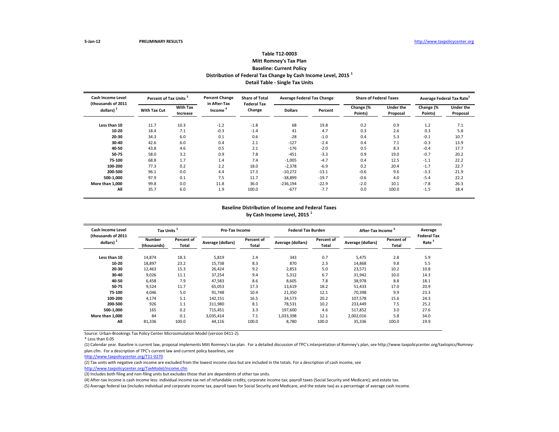## **Table T12-0003**

**Mitt Romney's Tax Plan Baseline: Current Policy**

**Distribution of Federal Tax Change by Cash Income Level, 2015 <sup>1</sup>**

**Detail Table - Single Tax Units**

| Cash Income Level<br>(thousands of 2011 | <b>Percent of Tax Units</b> |                             | <b>Percent Change</b><br>in After-Tax | <b>Share of Total</b><br><b>Federal Tax</b> | <b>Average Federal Tax Change</b> |         | <b>Share of Federal Taxes</b> |                              | Average Federal Tax Rate <sup>5</sup> |                              |
|-----------------------------------------|-----------------------------|-----------------------------|---------------------------------------|---------------------------------------------|-----------------------------------|---------|-------------------------------|------------------------------|---------------------------------------|------------------------------|
| dollars) $2$                            | <b>With Tax Cut</b>         | <b>With Tax</b><br>Increase | Income                                | Change                                      | <b>Dollars</b>                    | Percent | Change (%<br>Points)          | <b>Under the</b><br>Proposal | Change (%<br>Points)                  | <b>Under the</b><br>Proposal |
| Less than 10                            | 11.7                        | 10.3                        | $-1.2$                                | $-1.8$                                      | 68                                | 19.8    | 0.2                           | 0.9                          | 1.2                                   | 7.1                          |
| 10-20                                   | 18.4                        | 7.1                         | $-0.3$                                | $-1.4$                                      | 41                                | 4.7     | 0.3                           | 2.6                          | 0.3                                   | 5.8                          |
| 20-30                                   | 34.3                        | 6.0                         | 0.1                                   | 0.6                                         | $-28$                             | $-1.0$  | 0.4                           | 5.3                          | $-0.1$                                | 10.7                         |
| 30-40                                   | 42.6                        | 6.0                         | 0.4                                   | 2.1                                         | $-127$                            | $-2.4$  | 0.4                           | 7.1                          | $-0.3$                                | 13.9                         |
| 40-50                                   | 43.8                        | 4.6                         | 0.5                                   | 2.1                                         | $-176$                            | $-2.0$  | 0.5                           | 8.3                          | $-0.4$                                | 17.7                         |
| 50-75                                   | 58.0                        | 3.2                         | 0.9                                   | 7.8                                         | $-451$                            | $-3.3$  | 0.9                           | 19.0                         | $-0.7$                                | 20.2                         |
| 75-100                                  | 68.8                        | 1.7                         | 1.4                                   | 7.4                                         | $-1,005$                          | $-4.7$  | 0.4                           | 12.5                         | $-1.1$                                | 22.2                         |
| 100-200                                 | 77.3                        | 0.2                         | 2.2                                   | 18.0                                        | $-2,378$                          | $-6.9$  | 0.2                           | 20.4                         | $-1.7$                                | 22.7                         |
| 200-500                                 | 96.1                        | 0.0                         | 4.4                                   | 17.3                                        | $-10,272$                         | $-13.1$ | $-0.6$                        | 9.6                          | $-3.3$                                | 21.9                         |
| 500-1.000                               | 97.9                        | 0.1                         | 7.5                                   | 11.7                                        | $-38,899$                         | $-19.7$ | $-0.6$                        | 4.0                          | $-5.4$                                | 22.2                         |
| More than 1.000                         | 99.8                        | 0.0                         | 11.8                                  | 36.0                                        | $-236,194$                        | $-22.9$ | $-2.0$                        | 10.1                         | $-7.8$                                | 26.3                         |
| All                                     | 35.7                        | 6.0                         | 1.9                                   | 100.0                                       | $-677$                            | $-7.7$  | 0.0                           | 100.0                        | $-1.5$                                | 18.4                         |

#### **Baseline Distribution of Income and Federal Taxes by Cash Income Level, 2015 <sup>1</sup>**

| Cash Income Level<br>(thousands of 2011 | <b>Tax Units</b>      |                     | <b>Pre-Tax Income</b> |                     | <b>Federal Tax Burden</b> |                     | After-Tax Income  |                     | Average<br><b>Federal Tax</b> |
|-----------------------------------------|-----------------------|---------------------|-----------------------|---------------------|---------------------------|---------------------|-------------------|---------------------|-------------------------------|
| dollars) <sup>2</sup>                   | Number<br>(thousands) | Percent of<br>Total | Average (dollars)     | Percent of<br>Total | Average (dollars)         | Percent of<br>Total | Average (dollars) | Percent of<br>Total | Rate <sup>5</sup>             |
| Less than 10                            | 14,874                | 18.3                | 5,819                 | 2.4                 | 343                       | 0.7                 | 5.475             | 2.8                 | 5.9                           |
| 10-20                                   | 18,897                | 23.2                | 15.738                | 8.3                 | 870                       | 2.3                 | 14.868            | 9.8                 | 5.5                           |
| 20-30                                   | 12,463                | 15.3                | 26.424                | 9.2                 | 2,853                     | 5.0                 | 23,571            | 10.2                | 10.8                          |
| 30-40                                   | 9,026                 | 11.1                | 37,254                | 9.4                 | 5,312                     | 6.7                 | 31,942            | 10.0                | 14.3                          |
| 40-50                                   | 6,458                 | 7.9                 | 47,583                | 8.6                 | 8,605                     | 7.8                 | 38,978            | 8.8                 | 18.1                          |
| 50-75                                   | 9,524                 | 11.7                | 65,053                | 17.3                | 13,619                    | 18.2                | 51,433            | 17.0                | 20.9                          |
| 75-100                                  | 4,046                 | 5.0                 | 91,748                | 10.4                | 21,350                    | 12.1                | 70,398            | 9.9                 | 23.3                          |
| 100-200                                 | 4.174                 | 5.1                 | 142,151               | 16.5                | 34,573                    | 20.2                | 107,578           | 15.6                | 24.3                          |
| 200-500                                 | 926                   | 1.1                 | 311,980               | 8.1                 | 78,531                    | 10.2                | 233.449           | 7.5                 | 25.2                          |
| 500-1,000                               | 165                   | 0.2                 | 715,451               | 3.3                 | 197.600                   | 4.6                 | 517,852           | 3.0                 | 27.6                          |
| More than 1.000                         | 84                    | 0.1                 | 3,035,414             | 7.1                 | 1,033,398                 | 12.1                | 2,002,016         | 5.8                 | 34.0                          |
| All                                     | 81,336                | 100.0               | 44,116                | 100.0               | 8,780                     | 100.0               | 35,336            | 100.0               | 19.9                          |

Source: Urban-Brookings Tax Policy Center Microsimulation Model (version 0411-2).

\* Less than 0.05

(1) Calendar year. Baseline is current law, proposal implements Mitt Romney's tax plan. For a detailed discussion of TPC's interpretation of Romney's plan, see http://www.taxpolicycenter.org/taxtopics/Romneyplan.cfm. For a description of TPC's current law and current policy baselines, see

[http://www.taxpolicycente](http://www.taxpolicycenter.org/T11-0270)r.org/T11-0270

(2) Tax units with negative cash income are excluded from the lowest income class but are included in the totals. For a description of cash income, see

[http://www.taxpolicycente](http://www.taxpolicycenter.org/TaxModel/income.cfm)r.org/TaxModel/income.cfm

(3) Includes both filing and non-filing units but excludes those that are dependents of other tax units.

(4) After-tax income is cash income less: individual income tax net of refundable credits; corporate income tax; payroll taxes (Social Security and Medicare); and estate tax.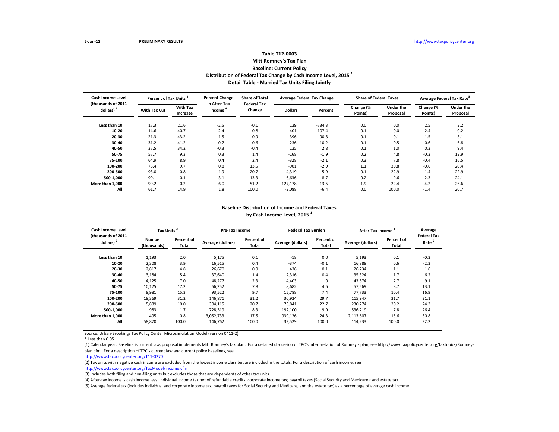## **Table T12-0003 Mitt Romney's Tax Plan Baseline: Current Policy Distribution of Federal Tax Change by Cash Income Level, 2015 <sup>1</sup> Detail Table - Married Tax Units Filing Jointly**

| <b>Cash Income Level</b><br>(thousands of 2011 | Percent of Tax Units <sup>3</sup> |                             | <b>Percent Change</b><br>in After-Tax | <b>Share of Total</b><br><b>Federal Tax</b> | <b>Average Federal Tax Change</b> |          | <b>Share of Federal Taxes</b> |                              | Average Federal Tax Rate |                              |  |
|------------------------------------------------|-----------------------------------|-----------------------------|---------------------------------------|---------------------------------------------|-----------------------------------|----------|-------------------------------|------------------------------|--------------------------|------------------------------|--|
| dollars) <sup>2</sup>                          | <b>With Tax Cut</b>               | <b>With Tax</b><br>Increase | Income                                | Change                                      | <b>Dollars</b>                    | Percent  | Change (%<br>Points)          | <b>Under the</b><br>Proposal | Change (%<br>Points)     | <b>Under the</b><br>Proposal |  |
| Less than 10                                   | 17.3                              | 21.6                        | $-2.5$                                | $-0.1$                                      | 129                               | $-734.3$ | 0.0                           | 0.0                          | 2.5                      | 2.2                          |  |
| 10-20                                          | 14.6                              | 40.7                        | $-2.4$                                | $-0.8$                                      | 401                               | $-107.4$ | 0.1                           | 0.0                          | 2.4                      | 0.2                          |  |
| 20-30                                          | 21.3                              | 43.2                        | $-1.5$                                | $-0.9$                                      | 396                               | 90.8     | 0.1                           | 0.1                          | 1.5                      | 3.1                          |  |
| 30-40                                          | 31.2                              | 41.2                        | $-0.7$                                | $-0.6$                                      | 236                               | 10.2     | 0.1                           | 0.5                          | 0.6                      | 6.8                          |  |
| 40-50                                          | 37.5                              | 34.2                        | $-0.3$                                | $-0.4$                                      | 125                               | 2.8      | 0.1                           | 1.0                          | 0.3                      | 9.4                          |  |
| 50-75                                          | 57.7                              | 9.3                         | 0.3                                   | 1.4                                         | $-168$                            | $-1.9$   | 0.2                           | 4.8                          | $-0.3$                   | 12.9                         |  |
| 75-100                                         | 64.9                              | 8.9                         | 0.4                                   | 2.4                                         | $-328$                            | $-2.1$   | 0.3                           | 7.8                          | $-0.4$                   | 16.5                         |  |
| 100-200                                        | 75.4                              | 9.7                         | 0.8                                   | 13.5                                        | $-901$                            | $-2.9$   | 1.1                           | 30.8                         | $-0.6$                   | 20.4                         |  |
| 200-500                                        | 93.0                              | 0.8                         | 1.9                                   | 20.7                                        | $-4,319$                          | $-5.9$   | 0.1                           | 22.9                         | $-1.4$                   | 22.9                         |  |
| 500-1.000                                      | 99.1                              | 0.1                         | 3.1                                   | 13.3                                        | $-16,636$                         | $-8.7$   | $-0.2$                        | 9.6                          | $-2.3$                   | 24.1                         |  |
| More than 1.000                                | 99.2                              | 0.2                         | 6.0                                   | 51.2                                        | $-127,178$                        | $-13.5$  | $-1.9$                        | 22.4                         | $-4.2$                   | 26.6                         |  |
| All                                            | 61.7                              | 14.9                        | 1.8                                   | 100.0                                       | $-2,088$                          | $-6.4$   | 0.0                           | 100.0                        | $-1.4$                   | 20.7                         |  |

#### **Baseline Distribution of Income and Federal Taxes by Cash Income Level, 2015 <sup>1</sup>**

| Cash Income Level<br>(thousands of 2011 | <b>Tax Units</b>      |                     | <b>Pre-Tax Income</b> |                     | <b>Federal Tax Burden</b> |                     | After-Tax Income  |                     | Average<br><b>Federal Tax</b> |
|-----------------------------------------|-----------------------|---------------------|-----------------------|---------------------|---------------------------|---------------------|-------------------|---------------------|-------------------------------|
| dollars) <sup>2</sup>                   | Number<br>(thousands) | Percent of<br>Total | Average (dollars)     | Percent of<br>Total | Average (dollars)         | Percent of<br>Total | Average (dollars) | Percent of<br>Total | Rate <sup>5</sup>             |
| Less than 10                            | 1,193                 | 2.0                 | 5,175                 | 0.1                 | $-18$                     | 0.0                 | 5,193             | 0.1                 | $-0.3$                        |
| 10-20                                   | 2,308                 | 3.9                 | 16,515                | 0.4                 | $-374$                    | $-0.1$              | 16.888            | 0.6                 | $-2.3$                        |
| 20-30                                   | 2,817                 | 4.8                 | 26.670                | 0.9                 | 436                       | 0.1                 | 26.234            | 1.1                 | 1.6                           |
| 30-40                                   | 3,184                 | 5.4                 | 37,640                | 1.4                 | 2,316                     | 0.4                 | 35,324            | 1.7                 | 6.2                           |
| 40-50                                   | 4,125                 | 7.0                 | 48,277                | 2.3                 | 4,403                     | 1.0                 | 43,874            | 2.7                 | 9.1                           |
| 50-75                                   | 10,125                | 17.2                | 66,252                | 7.8                 | 8,682                     | 4.6                 | 57,569            | 8.7                 | 13.1                          |
| 75-100                                  | 8,981                 | 15.3                | 93,522                | 9.7                 | 15,788                    | 7.4                 | 77.733            | 10.4                | 16.9                          |
| 100-200                                 | 18,369                | 31.2                | 146,871               | 31.2                | 30,924                    | 29.7                | 115,947           | 31.7                | 21.1                          |
| 200-500                                 | 5.889                 | 10.0                | 304.115               | 20.7                | 73.841                    | 22.7                | 230.274           | 20.2                | 24.3                          |
| 500-1,000                               | 983                   | 1.7                 | 728,319               | 8.3                 | 192,100                   | 9.9                 | 536,219           | 7.8                 | 26.4                          |
| More than 1.000                         | 495                   | 0.8                 | 3,052,733             | 17.5                | 939,126                   | 24.3                | 2,113,607         | 15.6                | 30.8                          |
| All                                     | 58,870                | 100.0               | 146,762               | 100.0               | 32,529                    | 100.0               | 114,233           | 100.0               | 22.2                          |

Source: Urban-Brookings Tax Policy Center Microsimulation Model (version 0411-2).

\* Less than 0.05

(1) Calendar year. Baseline is current law, proposal implements Mitt Romney's tax plan. For a detailed discussion of TPC's interpretation of Romney's plan, see http://www.taxpolicycenter.org/taxtopics/Romneyplan.cfm. For a description of TPC's current law and current policy baselines, see

[http://www.taxpolicycente](http://www.taxpolicycenter.org/T11-0270)r.org/T11-0270

(2) Tax units with negative cash income are excluded from the lowest income class but are included in the totals. For a description of cash income, see

[http://www.taxpolicycente](http://www.taxpolicycenter.org/TaxModel/income.cfm)r.org/TaxModel/income.cfm

(3) Includes both filing and non-filing units but excludes those that are dependents of other tax units.

(4) After-tax income is cash income less: individual income tax net of refundable credits; corporate income tax; payroll taxes (Social Security and Medicare); and estate tax.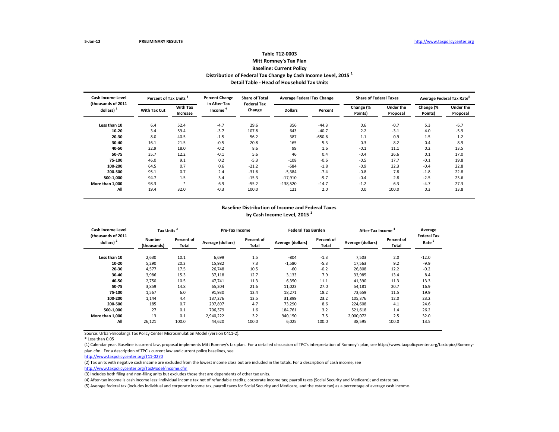## **Table T12-0003 Mitt Romney's Tax Plan Baseline: Current Policy Distribution of Federal Tax Change by Cash Income Level, 2015 <sup>1</sup>**

**Detail Table - Head of Household Tax Units**

| <b>Cash Income Level</b><br>(thousands of 2011 | Percent of Tax Units <sup>3</sup> |                             | <b>Percent Change</b><br>in After-Tax | <b>Share of Total</b><br><b>Federal Tax</b> | <b>Average Federal Tax Change</b> |          | <b>Share of Federal Taxes</b> |                              | Average Federal Tax Rate |                              |
|------------------------------------------------|-----------------------------------|-----------------------------|---------------------------------------|---------------------------------------------|-----------------------------------|----------|-------------------------------|------------------------------|--------------------------|------------------------------|
| dollars) $2$                                   | <b>With Tax Cut</b>               | <b>With Tax</b><br>Increase | Income                                | Change                                      | <b>Dollars</b>                    | Percent  | Change (%<br>Points)          | <b>Under the</b><br>Proposal | Change (%<br>Points)     | <b>Under the</b><br>Proposal |
| Less than 10                                   | 6.4                               | 52.4                        | $-4.7$                                | 29.6                                        | 356                               | $-44.3$  | 0.6                           | $-0.7$                       | 5.3                      | $-6.7$                       |
| 10-20                                          | 3.4                               | 59.4                        | $-3.7$                                | 107.8                                       | 643                               | $-40.7$  | 2.2                           | $-3.1$                       | 4.0                      | $-5.9$                       |
| 20-30                                          | 8.0                               | 40.5                        | $-1.5$                                | 56.2                                        | 387                               | $-650.6$ | 1.1                           | 0.9                          | 1.5                      | 1.2                          |
| 30-40                                          | 16.1                              | 21.5                        | $-0.5$                                | 20.8                                        | 165                               | 5.3      | 0.3                           | 8.2                          | 0.4                      | 8.9                          |
| 40-50                                          | 22.9                              | 18.0                        | $-0.2$                                | 8.6                                         | 99                                | 1.6      | $-0.1$                        | 11.1                         | 0.2                      | 13.5                         |
| 50-75                                          | 35.7                              | 12.2                        | $-0.1$                                | 5.6                                         | 46                                | 0.4      | $-0.4$                        | 26.6                         | 0.1                      | 17.0                         |
| 75-100                                         | 46.0                              | 9.1                         | 0.2                                   | $-5.3$                                      | $-108$                            | $-0.6$   | $-0.5$                        | 17.7                         | $-0.1$                   | 19.8                         |
| 100-200                                        | 64.5                              | 0.7                         | 0.6                                   | $-21.2$                                     | $-584$                            | $-1.8$   | $-0.9$                        | 22.3                         | $-0.4$                   | 22.8                         |
| 200-500                                        | 95.1                              | 0.7                         | 2.4                                   | $-31.6$                                     | $-5,384$                          | $-7.4$   | $-0.8$                        | 7.8                          | $-1.8$                   | 22.8                         |
| 500-1,000                                      | 94.7                              | 1.5                         | 3.4                                   | $-15.3$                                     | $-17,910$                         | $-9.7$   | $-0.4$                        | 2.8                          | $-2.5$                   | 23.6                         |
| More than 1,000                                | 98.3                              | $\ast$                      | 6.9                                   | $-55.2$                                     | $-138,520$                        | $-14.7$  | $-1.2$                        | 6.3                          | $-4.7$                   | 27.3                         |
| All                                            | 19.4                              | 32.0                        | $-0.3$                                | 100.0                                       | 121                               | 2.0      | 0.0                           | 100.0                        | 0.3                      | 13.8                         |

#### **Baseline Distribution of Income and Federal Taxes by Cash Income Level, 2015 <sup>1</sup>**

| Cash Income Level<br>(thousands of 2011 | <b>Tax Units</b>      |                     | <b>Pre-Tax Income</b> |                     | <b>Federal Tax Burden</b> |                     | After-Tax Income  | Average<br><b>Federal Tax</b> |                   |
|-----------------------------------------|-----------------------|---------------------|-----------------------|---------------------|---------------------------|---------------------|-------------------|-------------------------------|-------------------|
| dollars) $2$                            | Number<br>(thousands) | Percent of<br>Total | Average (dollars)     | Percent of<br>Total | Average (dollars)         | Percent of<br>Total | Average (dollars) | Percent of<br>Total           | Rate <sup>5</sup> |
| Less than 10                            | 2,630                 | 10.1                | 6,699                 | 1.5                 | $-804$                    | $-1.3$              | 7,503             | 2.0                           | $-12.0$           |
| 10-20                                   | 5,290                 | 20.3                | 15,982                | 7.3                 | $-1,580$                  | $-5.3$              | 17,563            | 9.2                           | $-9.9$            |
| 20-30                                   | 4,577                 | 17.5                | 26.748                | 10.5                | $-60$                     | $-0.2$              | 26,808            | 12.2                          | $-0.2$            |
| 30-40                                   | 3,986                 | 15.3                | 37,118                | 12.7                | 3,133                     | 7.9                 | 33,985            | 13.4                          | 8.4               |
| 40-50                                   | 2,750                 | 10.5                | 47.741                | 11.3                | 6,350                     | 11.1                | 41,390            | 11.3                          | 13.3              |
| 50-75                                   | 3,859                 | 14.8                | 65,204                | 21.6                | 11,023                    | 27.0                | 54,181            | 20.7                          | 16.9              |
| 75-100                                  | 1,567                 | 6.0                 | 91,930                | 12.4                | 18,271                    | 18.2                | 73,659            | 11.5                          | 19.9              |
| 100-200                                 | 1,144                 | 4.4                 | 137,276               | 13.5                | 31,899                    | 23.2                | 105,376           | 12.0                          | 23.2              |
| 200-500                                 | 185                   | 0.7                 | 297.897               | 4.7                 | 73.290                    | 8.6                 | 224.608           | 4.1                           | 24.6              |
| 500-1.000                               | 27                    | 0.1                 | 706.379               | 1.6                 | 184.761                   | 3.2                 | 521.618           | 1.4                           | 26.2              |
| More than 1.000                         | 13                    | 0.1                 | 2,940,222             | 3.2                 | 940,150                   | 7.5                 | 2,000,072         | 2.5                           | 32.0              |
| All                                     | 26,121                | 100.0               | 44,620                | 100.0               | 6,025                     | 100.0               | 38,595            | 100.0                         | 13.5              |

Source: Urban-Brookings Tax Policy Center Microsimulation Model (version 0411-2).

\* Less than 0.05

(1) Calendar year. Baseline is current law, proposal implements Mitt Romney's tax plan. For a detailed discussion of TPC's interpretation of Romney's plan, see http://www.taxpolicycenter.org/taxtopics/Romneyplan.cfm. For a description of TPC's current law and current policy baselines, see

[http://www.taxpolicycente](http://www.taxpolicycenter.org/T11-0270)r.org/T11-0270

(2) Tax units with negative cash income are excluded from the lowest income class but are included in the totals. For a description of cash income, see

[http://www.taxpolicycente](http://www.taxpolicycenter.org/TaxModel/income.cfm)r.org/TaxModel/income.cfm

(3) Includes both filing and non-filing units but excludes those that are dependents of other tax units.

(4) After-tax income is cash income less: individual income tax net of refundable credits; corporate income tax; payroll taxes (Social Security and Medicare); and estate tax.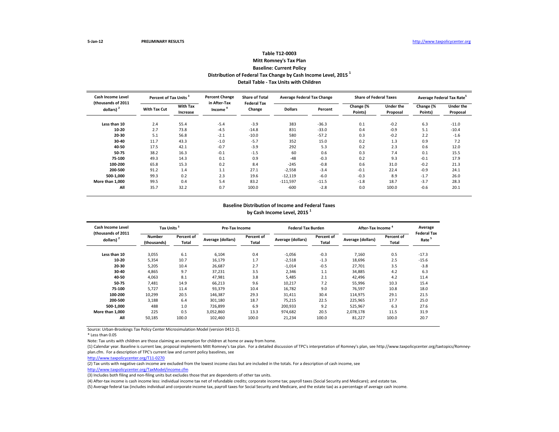#### **Table T12-0003 Mitt Romney's Tax Plan Baseline: Current Policy Distribution of Federal Tax Change by Cash Income Level, 2015 <sup>1</sup> Detail Table - Tax Units with Children**

| Cash Income Level<br>(thousands of 2011 | Percent of Tax Units |                             | <b>Percent Change</b><br>in After-Tax | <b>Share of Total</b><br><b>Federal Tax</b> | <b>Average Federal Tax Change</b> |         | <b>Share of Federal Taxes</b> |                       | Average Federal Tax Rate <sup>3</sup> |                              |
|-----------------------------------------|----------------------|-----------------------------|---------------------------------------|---------------------------------------------|-----------------------------------|---------|-------------------------------|-----------------------|---------------------------------------|------------------------------|
| dollars) <sup>2</sup>                   | <b>With Tax Cut</b>  | <b>With Tax</b><br>Increase | Income                                | Change                                      | <b>Dollars</b>                    | Percent | Change (%<br>Points)          | Under the<br>Proposal | Change (%<br>Points)                  | <b>Under the</b><br>Proposal |
| Less than 10                            | 2.4                  | 55.4                        | $-5.4$                                | $-3.9$                                      | 383                               | $-36.3$ | 0.1                           | $-0.2$                | 6.3                                   | $-11.0$                      |
| 10-20                                   | 2.7                  | 73.8                        | $-4.5$                                | $-14.8$                                     | 831                               | $-33.0$ | 0.4                           | $-0.9$                | 5.1                                   | $-10.4$                      |
| 20-30                                   | 5.1                  | 56.8                        | $-2.1$                                | $-10.0$                                     | 580                               | $-57.2$ | 0.3                           | $-0.2$                | 2.2                                   | $-1.6$                       |
| 30-40                                   | 11.7                 | 43.3                        | $-1.0$                                | $-5.7$                                      | 352                               | 15.0    | 0.2                           | 1.3                   | 0.9                                   | 7.2                          |
| 40-50                                   | 17.5                 | 42.1                        | $-0.7$                                | $-3.9$                                      | 292                               | 5.3     | 0.2                           | 2.3                   | 0.6                                   | 12.0                         |
| 50-75                                   | 38.2                 | 16.3                        | $-0.1$                                | $-1.5$                                      | 60                                | 0.6     | 0.3                           | 7.4                   | 0.1                                   | 15.5                         |
| 75-100                                  | 49.3                 | 14.3                        | 0.1                                   | 0.9                                         | $-48$                             | $-0.3$  | 0.2                           | 9.3                   | $-0.1$                                | 17.9                         |
| 100-200                                 | 65.8                 | 15.3                        | 0.2                                   | 8.4                                         | $-245$                            | $-0.8$  | 0.6                           | 31.0                  | $-0.2$                                | 21.3                         |
| 200-500                                 | 91.2                 | 1.4                         | 1.1                                   | 27.1                                        | $-2,558$                          | $-3.4$  | $-0.1$                        | 22.4                  | $-0.9$                                | 24.1                         |
| 500-1.000                               | 99.3                 | 0.2                         | 2.3                                   | 19.6                                        | $-12,119$                         | $-6.0$  | $-0.3$                        | 8.9                   | $-1.7$                                | 26.0                         |
| More than 1.000                         | 99.5                 | 0.4                         | 5.4                                   | 83.2                                        | $-111,597$                        | $-11.5$ | $-1.8$                        | 18.7                  | $-3.7$                                | 28.3                         |
| All                                     | 35.7                 | 32.2                        | 0.7                                   | 100.0                                       | $-600$                            | $-2.8$  | 0.0                           | 100.0                 | $-0.6$                                | 20.1                         |

#### **Baseline Distribution of Income and Federal Taxes by Cash Income Level, 2015 <sup>1</sup>**

| Cash Income Level                           | Tax Units <sup>3</sup>       |                     | Pre-Tax Income    |                     | <b>Federal Tax Burden</b> |                     | After-Tax Income  |                     | Average                                 |
|---------------------------------------------|------------------------------|---------------------|-------------------|---------------------|---------------------------|---------------------|-------------------|---------------------|-----------------------------------------|
| (thousands of 2011<br>dollars) <sup>2</sup> | <b>Number</b><br>(thousands) | Percent of<br>Total | Average (dollars) | Percent of<br>Total | Average (dollars)         | Percent of<br>Total | Average (dollars) | Percent of<br>Total | <b>Federal Tax</b><br>Rate <sup>5</sup> |
| Less than 10                                | 3,055                        | 6.1                 | 6,104             | 0.4                 | $-1,056$                  | $-0.3$              | 7,160             | 0.5                 | $-17.3$                                 |
| 10-20                                       | 5,354                        | 10.7                | 16,179            | 1.7                 | $-2,518$                  | $-1.3$              | 18,696            | 2.5                 | $-15.6$                                 |
| 20-30                                       | 5,205                        | 10.4                | 26,687            | 2.7                 | $-1,014$                  | $-0.5$              | 27.701            | 3.5                 | $-3.8$                                  |
| 30-40                                       | 4,865                        | 9.7                 | 37,231            | 3.5                 | 2,346                     | 1.1                 | 34,885            | 4.2                 | 6.3                                     |
| 40-50                                       | 4,063                        | 8.1                 | 47,981            | 3.8                 | 5,485                     | 2.1                 | 42,496            | 4.2                 | 11.4                                    |
| 50-75                                       | 7,481                        | 14.9                | 66,213            | 9.6                 | 10,217                    | 7.2                 | 55,996            | 10.3                | 15.4                                    |
| 75-100                                      | 5.727                        | 11.4                | 93,379            | 10.4                | 16,782                    | 9.0                 | 76.597            | 10.8                | 18.0                                    |
| 100-200                                     | 10,299                       | 20.5                | 146,387           | 29.3                | 31,411                    | 30.4                | 114,975           | 29.1                | 21.5                                    |
| 200-500                                     | 3,188                        | 6.4                 | 301,180           | 18.7                | 75,215                    | 22.5                | 225,965           | 17.7                | 25.0                                    |
| 500-1.000                                   | 488                          | 1.0                 | 726.899           | 6.9                 | 200,933                   | 9.2                 | 525,967           | 6.3                 | 27.6                                    |
| More than 1.000                             | 225                          | 0.5                 | 3.052.860         | 13.3                | 974.682                   | 20.5                | 2.078.178         | 11.5                | 31.9                                    |
| All                                         | 50,185                       | 100.0               | 102,460           | 100.0               | 21,234                    | 100.0               | 81,227            | 100.0               | 20.7                                    |

Source: Urban-Brookings Tax Policy Center Microsimulation Model (version 0411-2).

\* Less than 0.05

Note: Tax units with children are those claiming an exemption for children at home or away from home.

(1) Calendar year. Baseline is current law, proposal implements Mitt Romney's tax plan. For a detailed discussion of TPC's interpretation of Romney's plan, see http://www.taxpolicycenter.org/taxtopics/Romneyplan.cfm. For a description of TPC's current law and current policy baselines, see

(2) Tax units with negative cash income are excluded from the lowest income class but are included in the totals. For a description of cash income, see

[http://www.taxpolicycente](http://www.taxpolicycenter.org/TaxModel/income.cfm)r.org/TaxModel/income.cfm

(3) Includes both filing and non-filing units but excludes those that are dependents of other tax units.

(4) After-tax income is cash income less: individual income tax net of refundable credits; corporate income tax; payroll taxes (Social Security and Medicare); and estate tax.

[http://www.taxpolicycente](http://www.taxpolicycenter.org/T11-0270)r.org/T11-0270